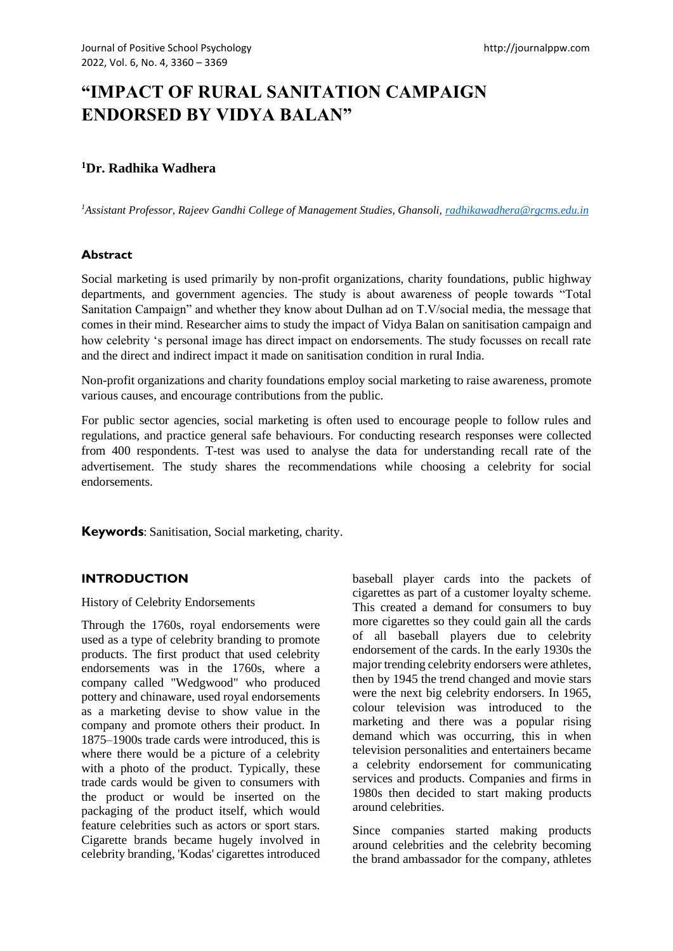# **"IMPACT OF RURAL SANITATION CAMPAIGN ENDORSED BY VIDYA BALAN"**

# **<sup>1</sup>Dr. Radhika Wadhera**

*<sup>1</sup>Assistant Professor, Rajeev Gandhi College of Management Studies, Ghansoli, [radhikawadhera@rgcms.edu.in](mailto:radhikawadhera@rgcms.edu.in)*

### **Abstract**

Social marketing is used primarily by non-profit organizations, charity foundations, public highway departments, and government agencies. The study is about awareness of people towards "Total Sanitation Campaign" and whether they know about Dulhan ad on T.V/social media, the message that comes in their mind. Researcher aims to study the impact of Vidya Balan on sanitisation campaign and how celebrity 's personal image has direct impact on endorsements. The study focusses on recall rate and the direct and indirect impact it made on sanitisation condition in rural India.

Non-profit organizations and charity foundations employ social marketing to raise awareness, promote various causes, and encourage contributions from the public.

For public sector agencies, social marketing is often used to encourage people to follow rules and regulations, and practice general safe behaviours. For conducting research responses were collected from 400 respondents. T-test was used to analyse the data for understanding recall rate of the advertisement. The study shares the recommendations while choosing a celebrity for social endorsements.

**Keywords**: Sanitisation, Social marketing, charity.

# **INTRODUCTION**

History of Celebrity Endorsements

Through the 1760s, royal endorsements were used as a type of celebrity branding to promote products. The first product that used celebrity endorsements was in the 1760s, where a company called "Wedgwood" who produced pottery and chinaware, used royal endorsements as a marketing devise to show value in the company and promote others their product. In 1875–1900s trade cards were introduced, this is where there would be a picture of a celebrity with a photo of the product. Typically, these trade cards would be given to consumers with the product or would be inserted on the packaging of the product itself, which would feature celebrities such as actors or sport stars. Cigarette brands became hugely involved in celebrity branding, 'Kodas' cigarettes introduced baseball player cards into the packets of cigarettes as part of a customer loyalty scheme. This created a demand for consumers to buy more cigarettes so they could gain all the cards of all baseball players due to celebrity endorsement of the cards. In the early 1930s the major trending celebrity endorsers were athletes, then by 1945 the trend changed and movie stars were the next big celebrity endorsers. In 1965, colour television was introduced to the marketing and there was a popular rising demand which was occurring, this in when television personalities and entertainers became a celebrity endorsement for communicating services and products. Companies and firms in 1980s then decided to start making products around celebrities.

Since companies started making products around celebrities and the celebrity becoming the brand ambassador for the company, athletes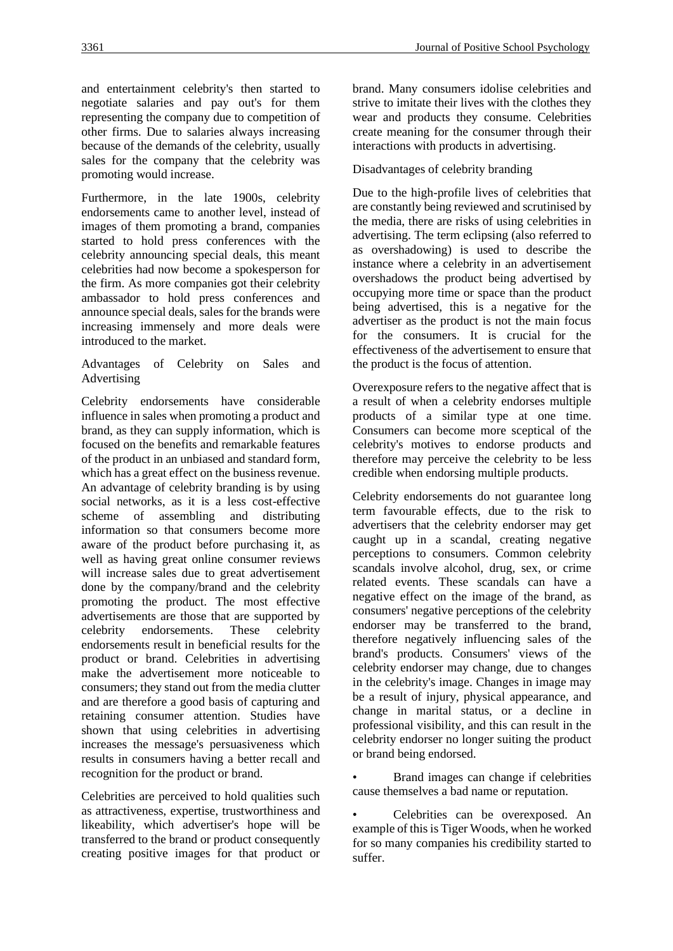and entertainment celebrity's then started to negotiate salaries and pay out's for them representing the company due to competition of other firms. Due to salaries always increasing because of the demands of the celebrity, usually sales for the company that the celebrity was promoting would increase.

Furthermore, in the late 1900s, celebrity endorsements came to another level, instead of images of them promoting a brand, companies started to hold press conferences with the celebrity announcing special deals, this meant celebrities had now become a spokesperson for the firm. As more companies got their celebrity ambassador to hold press conferences and announce special deals, sales for the brands were increasing immensely and more deals were introduced to the market.

Advantages of Celebrity on Sales and Advertising

Celebrity endorsements have considerable influence in sales when promoting a product and brand, as they can supply information, which is focused on the benefits and remarkable features of the product in an unbiased and standard form, which has a great effect on the business revenue. An advantage of celebrity branding is by using social networks, as it is a less cost-effective scheme of assembling and distributing information so that consumers become more aware of the product before purchasing it, as well as having great online consumer reviews will increase sales due to great advertisement done by the company/brand and the celebrity promoting the product. The most effective advertisements are those that are supported by celebrity endorsements. These celebrity endorsements result in beneficial results for the product or brand. Celebrities in advertising make the advertisement more noticeable to consumers; they stand out from the media clutter and are therefore a good basis of capturing and retaining consumer attention. Studies have shown that using celebrities in advertising increases the message's persuasiveness which results in consumers having a better recall and recognition for the product or brand.

Celebrities are perceived to hold qualities such as attractiveness, expertise, trustworthiness and likeability, which advertiser's hope will be transferred to the brand or product consequently creating positive images for that product or brand. Many consumers idolise celebrities and strive to imitate their lives with the clothes they wear and products they consume. Celebrities create meaning for the consumer through their interactions with products in advertising.

#### Disadvantages of celebrity branding

Due to the high-profile lives of celebrities that are constantly being reviewed and scrutinised by the media, there are risks of using celebrities in advertising. The term eclipsing (also referred to as overshadowing) is used to describe the instance where a celebrity in an advertisement overshadows the product being advertised by occupying more time or space than the product being advertised, this is a negative for the advertiser as the product is not the main focus for the consumers. It is crucial for the effectiveness of the advertisement to ensure that the product is the focus of attention.

Overexposure refers to the negative affect that is a result of when a celebrity endorses multiple products of a similar type at one time. Consumers can become more sceptical of the celebrity's motives to endorse products and therefore may perceive the celebrity to be less credible when endorsing multiple products.

Celebrity endorsements do not guarantee long term favourable effects, due to the risk to advertisers that the celebrity endorser may get caught up in a scandal, creating negative perceptions to consumers. Common celebrity scandals involve alcohol, drug, sex, or crime related events. These scandals can have a negative effect on the image of the brand, as consumers' negative perceptions of the celebrity endorser may be transferred to the brand, therefore negatively influencing sales of the brand's products. Consumers' views of the celebrity endorser may change, due to changes in the celebrity's image. Changes in image may be a result of injury, physical appearance, and change in marital status, or a decline in professional visibility, and this can result in the celebrity endorser no longer suiting the product or brand being endorsed.

• Brand images can change if celebrities cause themselves a bad name or reputation.

• Celebrities can be overexposed. An example of this is Tiger Woods, when he worked for so many companies his credibility started to suffer.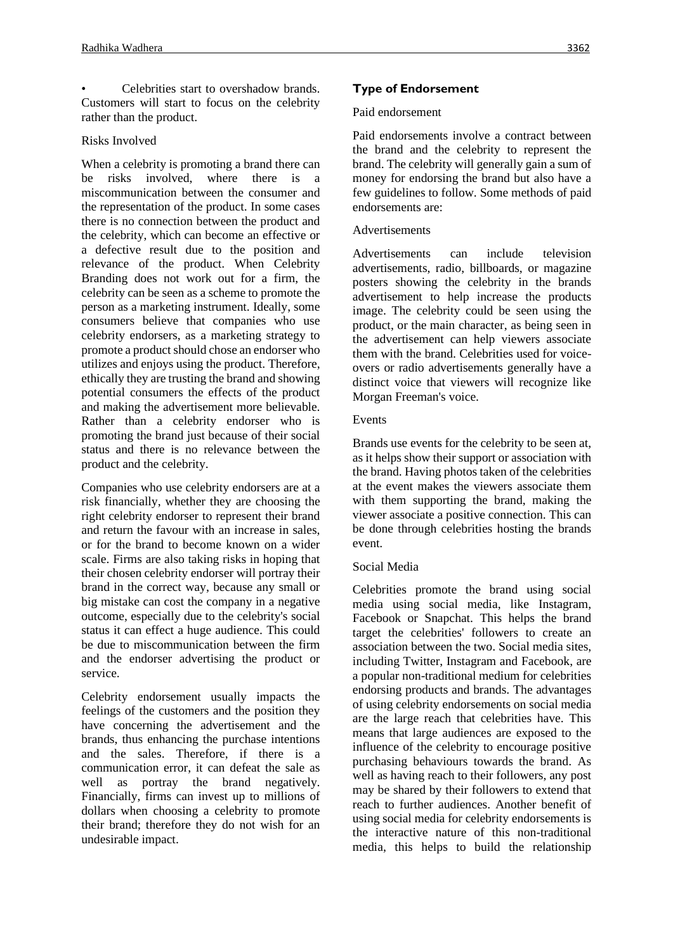• Celebrities start to overshadow brands. Customers will start to focus on the celebrity rather than the product.

## Risks Involved

When a celebrity is promoting a brand there can be risks involved, where there is a miscommunication between the consumer and the representation of the product. In some cases there is no connection between the product and the celebrity, which can become an effective or a defective result due to the position and relevance of the product. When Celebrity Branding does not work out for a firm, the celebrity can be seen as a scheme to promote the person as a marketing instrument. Ideally, some consumers believe that companies who use celebrity endorsers, as a marketing strategy to promote a product should chose an endorser who utilizes and enjoys using the product. Therefore, ethically they are trusting the brand and showing potential consumers the effects of the product and making the advertisement more believable. Rather than a celebrity endorser who is promoting the brand just because of their social status and there is no relevance between the product and the celebrity.

Companies who use celebrity endorsers are at a risk financially, whether they are choosing the right celebrity endorser to represent their brand and return the favour with an increase in sales or for the brand to become known on a wider scale. Firms are also taking risks in hoping that their chosen celebrity endorser will portray their brand in the correct way, because any small or big mistake can cost the company in a negative outcome, especially due to the celebrity's social status it can effect a huge audience. This could be due to miscommunication between the firm and the endorser advertising the product or service.

Celebrity endorsement usually impacts the feelings of the customers and the position they have concerning the advertisement and the brands, thus enhancing the purchase intentions and the sales. Therefore, if there is a communication error, it can defeat the sale as well as portray the brand negatively. Financially, firms can invest up to millions of dollars when choosing a celebrity to promote their brand; therefore they do not wish for an undesirable impact.

## **Type of Endorsement**

### Paid endorsement

Paid endorsements involve a contract between the brand and the celebrity to represent the brand. The celebrity will generally gain a sum of money for endorsing the brand but also have a few guidelines to follow. Some methods of paid endorsements are:

### Advertisements

Advertisements can include television advertisements, radio, billboards, or magazine posters showing the celebrity in the brands advertisement to help increase the products image. The celebrity could be seen using the product, or the main character, as being seen in the advertisement can help viewers associate them with the brand. Celebrities used for voiceovers or radio advertisements generally have a distinct voice that viewers will recognize like Morgan Freeman's voice.

### Events

Brands use events for the celebrity to be seen at, as it helps show their support or association with the brand. Having photos taken of the celebrities at the event makes the viewers associate them with them supporting the brand, making the viewer associate a positive connection. This can be done through celebrities hosting the brands event.

## Social Media

Celebrities promote the brand using social media using social media, like Instagram, Facebook or Snapchat. This helps the brand target the celebrities' followers to create an association between the two. Social media sites, including Twitter, Instagram and Facebook, are a popular non-traditional medium for celebrities endorsing products and brands. The advantages of using celebrity endorsements on social media are the large reach that celebrities have. This means that large audiences are exposed to the influence of the celebrity to encourage positive purchasing behaviours towards the brand. As well as having reach to their followers, any post may be shared by their followers to extend that reach to further audiences. Another benefit of using social media for celebrity endorsements is the interactive nature of this non-traditional media, this helps to build the relationship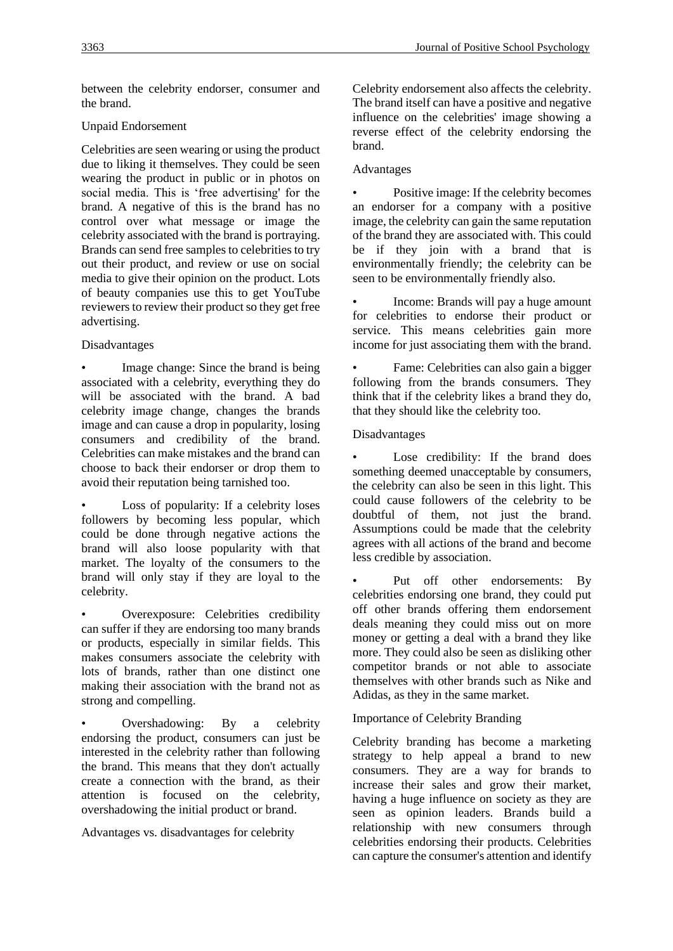between the celebrity endorser, consumer and the brand.

# Unpaid Endorsement

Celebrities are seen wearing or using the product due to liking it themselves. They could be seen wearing the product in public or in photos on social media. This is 'free advertising' for the brand. A negative of this is the brand has no control over what message or image the celebrity associated with the brand is portraying. Brands can send free samples to celebrities to try out their product, and review or use on social media to give their opinion on the product. Lots of beauty companies use this to get YouTube reviewers to review their product so they get free advertising.

# Disadvantages

• Image change: Since the brand is being associated with a celebrity, everything they do will be associated with the brand. A bad celebrity image change, changes the brands image and can cause a drop in popularity, losing consumers and credibility of the brand. Celebrities can make mistakes and the brand can choose to back their endorser or drop them to avoid their reputation being tarnished too.

Loss of popularity: If a celebrity loses followers by becoming less popular, which could be done through negative actions the brand will also loose popularity with that market. The loyalty of the consumers to the brand will only stay if they are loyal to the celebrity.

• Overexposure: Celebrities credibility can suffer if they are endorsing too many brands or products, especially in similar fields. This makes consumers associate the celebrity with lots of brands, rather than one distinct one making their association with the brand not as strong and compelling.

• Overshadowing: By a celebrity endorsing the product, consumers can just be interested in the celebrity rather than following the brand. This means that they don't actually create a connection with the brand, as their attention is focused on the celebrity, overshadowing the initial product or brand.

Advantages vs. disadvantages for celebrity

Celebrity endorsement also affects the celebrity. The brand itself can have a positive and negative influence on the celebrities' image showing a reverse effect of the celebrity endorsing the brand.

# Advantages

• Positive image: If the celebrity becomes an endorser for a company with a positive image, the celebrity can gain the same reputation of the brand they are associated with. This could be if they join with a brand that is environmentally friendly; the celebrity can be seen to be environmentally friendly also.

• Income: Brands will pay a huge amount for celebrities to endorse their product or service. This means celebrities gain more income for just associating them with the brand.

• Fame: Celebrities can also gain a bigger following from the brands consumers. They think that if the celebrity likes a brand they do, that they should like the celebrity too.

# Disadvantages

Lose credibility: If the brand does something deemed unacceptable by consumers, the celebrity can also be seen in this light. This could cause followers of the celebrity to be doubtful of them, not just the brand. Assumptions could be made that the celebrity agrees with all actions of the brand and become less credible by association.

Put off other endorsements: By celebrities endorsing one brand, they could put off other brands offering them endorsement deals meaning they could miss out on more money or getting a deal with a brand they like more. They could also be seen as disliking other competitor brands or not able to associate themselves with other brands such as Nike and Adidas, as they in the same market.

# Importance of Celebrity Branding

Celebrity branding has become a marketing strategy to help appeal a brand to new consumers. They are a way for brands to increase their sales and grow their market, having a huge influence on society as they are seen as opinion leaders. Brands build a relationship with new consumers through celebrities endorsing their products. Celebrities can capture the consumer's attention and identify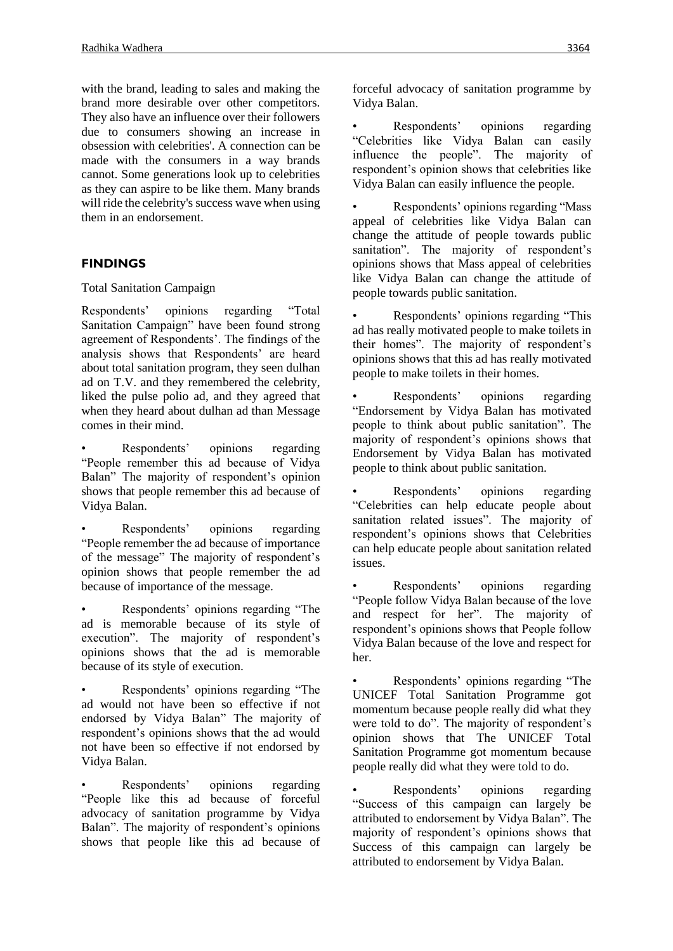with the brand, leading to sales and making the brand more desirable over other competitors. They also have an influence over their followers due to consumers showing an increase in obsession with celebrities'. A connection can be made with the consumers in a way brands cannot. Some generations look up to celebrities as they can aspire to be like them. Many brands will ride the celebrity's success wave when using them in an endorsement.

## **FINDINGS**

Total Sanitation Campaign

Respondents' opinions regarding "Total Sanitation Campaign" have been found strong agreement of Respondents'. The findings of the analysis shows that Respondents' are heard about total sanitation program, they seen dulhan ad on T.V. and they remembered the celebrity, liked the pulse polio ad, and they agreed that when they heard about dulhan ad than Message comes in their mind.

Respondents' opinions regarding "People remember this ad because of Vidya Balan" The majority of respondent's opinion shows that people remember this ad because of Vidya Balan.

Respondents' opinions regarding "People remember the ad because of importance of the message" The majority of respondent's opinion shows that people remember the ad because of importance of the message.

Respondents' opinions regarding "The ad is memorable because of its style of execution". The majority of respondent's opinions shows that the ad is memorable because of its style of execution.

• Respondents' opinions regarding "The ad would not have been so effective if not endorsed by Vidya Balan" The majority of respondent's opinions shows that the ad would not have been so effective if not endorsed by Vidya Balan.

Respondents' opinions regarding "People like this ad because of forceful advocacy of sanitation programme by Vidya Balan". The majority of respondent's opinions shows that people like this ad because of forceful advocacy of sanitation programme by Vidya Balan.

Respondents' opinions regarding "Celebrities like Vidya Balan can easily influence the people". The majority of respondent's opinion shows that celebrities like Vidya Balan can easily influence the people.

• Respondents' opinions regarding "Mass appeal of celebrities like Vidya Balan can change the attitude of people towards public sanitation". The majority of respondent's opinions shows that Mass appeal of celebrities like Vidya Balan can change the attitude of people towards public sanitation.

Respondents' opinions regarding "This ad has really motivated people to make toilets in their homes". The majority of respondent's opinions shows that this ad has really motivated people to make toilets in their homes.

Respondents' opinions regarding "Endorsement by Vidya Balan has motivated people to think about public sanitation". The majority of respondent's opinions shows that Endorsement by Vidya Balan has motivated people to think about public sanitation.

Respondents' opinions regarding "Celebrities can help educate people about sanitation related issues". The majority of respondent's opinions shows that Celebrities can help educate people about sanitation related issues.

Respondents' opinions regarding "People follow Vidya Balan because of the love and respect for her". The majority of respondent's opinions shows that People follow Vidya Balan because of the love and respect for her.

• Respondents' opinions regarding "The UNICEF Total Sanitation Programme got momentum because people really did what they were told to do". The majority of respondent's opinion shows that The UNICEF Total Sanitation Programme got momentum because people really did what they were told to do.

Respondents' opinions regarding "Success of this campaign can largely be attributed to endorsement by Vidya Balan". The majority of respondent's opinions shows that Success of this campaign can largely be attributed to endorsement by Vidya Balan.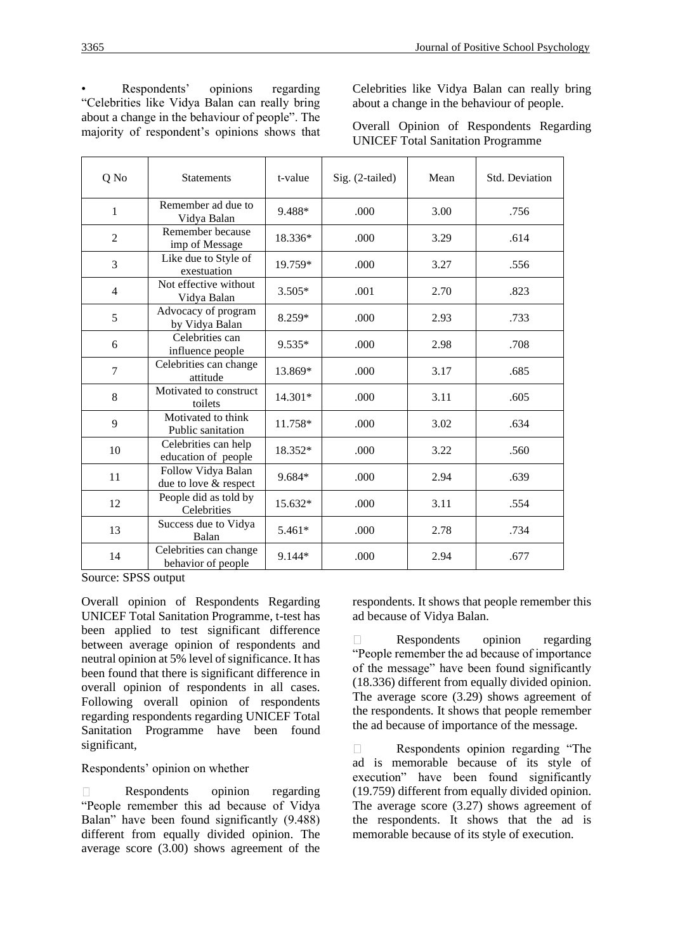Respondents' opinions regarding "Celebrities like Vidya Balan can really bring about a change in the behaviour of people". The majority of respondent's opinions shows that Celebrities like Vidya Balan can really bring about a change in the behaviour of people.

|                                          |  |  | Overall Opinion of Respondents Regarding |  |  |  |  |  |
|------------------------------------------|--|--|------------------------------------------|--|--|--|--|--|
| <b>UNICEF Total Sanitation Programme</b> |  |  |                                          |  |  |  |  |  |

| Q No           | <b>Statements</b>                            | t-value   | Sig. (2-tailed) | Mean | Std. Deviation |
|----------------|----------------------------------------------|-----------|-----------------|------|----------------|
| $\mathbf{1}$   | Remember ad due to<br>Vidya Balan            | 9.488*    | .000            | 3.00 | .756           |
| $\overline{2}$ | Remember because<br>imp of Message           | 18.336*   | .000            | 3.29 | .614           |
| 3              | Like due to Style of<br>exestuation          | 19.759*   | .000            | 3.27 | .556           |
| $\overline{4}$ | Not effective without<br>Vidya Balan         | $3.505*$  | .001            | 2.70 | .823           |
| 5              | Advocacy of program<br>by Vidya Balan        | 8.259*    | .000            | 2.93 | .733           |
| 6              | Celebrities can<br>influence people          | $9.535*$  | .000            | 2.98 | .708           |
| $\overline{7}$ | Celebrities can change<br>attitude           | 13.869*   | .000            | 3.17 | .685           |
| 8              | Motivated to construct<br>toilets            | $14.301*$ | .000            | 3.11 | .605           |
| 9              | Motivated to think<br>Public sanitation      | 11.758*   | .000            | 3.02 | .634           |
| 10             | Celebrities can help<br>education of people  | 18.352*   | .000            | 3.22 | .560           |
| 11             | Follow Vidya Balan<br>due to love & respect  | 9.684*    | .000            | 2.94 | .639           |
| 12             | People did as told by<br>Celebrities         | 15.632*   | .000            | 3.11 | .554           |
| 13             | Success due to Vidya<br>Balan                | $5.461*$  | .000            | 2.78 | .734           |
| 14             | Celebrities can change<br>behavior of people | 9.144*    | .000            | 2.94 | .677           |

Source: SPSS output

Overall opinion of Respondents Regarding UNICEF Total Sanitation Programme, t-test has been applied to test significant difference between average opinion of respondents and neutral opinion at 5% level of significance. It has been found that there is significant difference in overall opinion of respondents in all cases. Following overall opinion of respondents regarding respondents regarding UNICEF Total Sanitation Programme have been found significant,

Respondents' opinion on whether

Respondents opinion regarding  $\Box$ "People remember this ad because of Vidya Balan" have been found significantly (9.488) different from equally divided opinion. The average score (3.00) shows agreement of the respondents. It shows that people remember this ad because of Vidya Balan.

Respondents opinion regarding  $\Box$ "People remember the ad because of importance of the message" have been found significantly (18.336) different from equally divided opinion. The average score (3.29) shows agreement of the respondents. It shows that people remember the ad because of importance of the message.

Respondents opinion regarding "The  $\Box$ ad is memorable because of its style of execution" have been found significantly (19.759) different from equally divided opinion. The average score (3.27) shows agreement of the respondents. It shows that the ad is memorable because of its style of execution.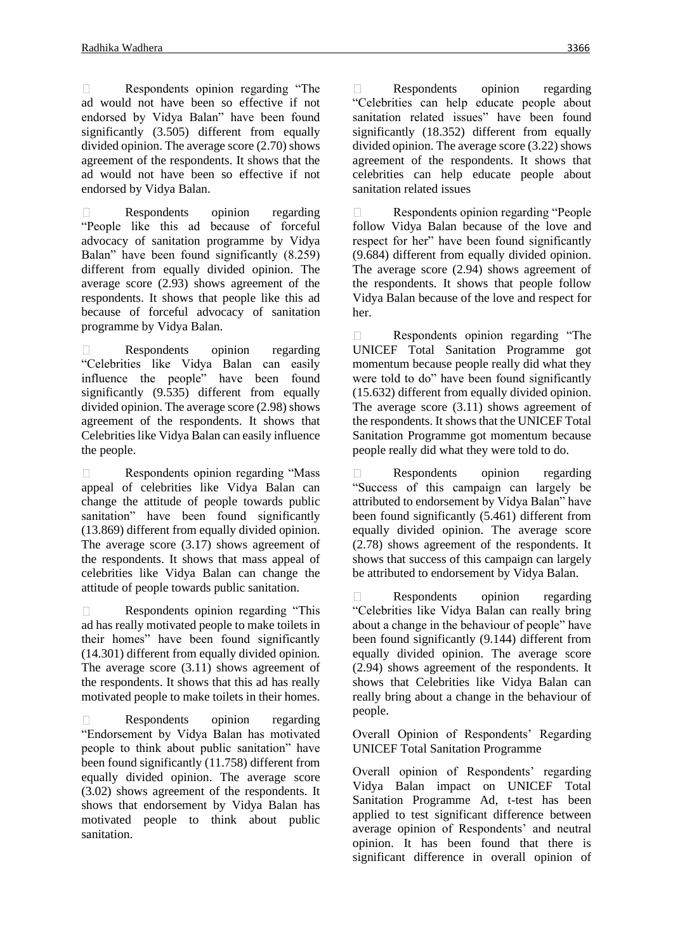$\Box$ Respondents opinion regarding "The ad would not have been so effective if not endorsed by Vidya Balan" have been found significantly (3.505) different from equally divided opinion. The average score (2.70) shows agreement of the respondents. It shows that the ad would not have been so effective if not endorsed by Vidya Balan.

Respondents opinion regarding  $\Box$ "People like this ad because of forceful advocacy of sanitation programme by Vidya Balan" have been found significantly (8.259) different from equally divided opinion. The average score (2.93) shows agreement of the respondents. It shows that people like this ad because of forceful advocacy of sanitation programme by Vidya Balan.

 $\Box$ Respondents opinion regarding "Celebrities like Vidya Balan can easily influence the people" have been found significantly  $(9.535)$  different from equally divided opinion. The average score (2.98) shows agreement of the respondents. It shows that Celebrities like Vidya Balan can easily influence the people.

Respondents opinion regarding "Mass  $\Box$ appeal of celebrities like Vidya Balan can change the attitude of people towards public sanitation" have been found significantly (13.869) different from equally divided opinion. The average score (3.17) shows agreement of the respondents. It shows that mass appeal of celebrities like Vidya Balan can change the attitude of people towards public sanitation.

Respondents opinion regarding "This  $\Box$ ad has really motivated people to make toilets in their homes" have been found significantly (14.301) different from equally divided opinion. The average score (3.11) shows agreement of the respondents. It shows that this ad has really motivated people to make toilets in their homes.

Respondents opinion regarding  $\Box$ "Endorsement by Vidya Balan has motivated people to think about public sanitation" have been found significantly (11.758) different from equally divided opinion. The average score (3.02) shows agreement of the respondents. It shows that endorsement by Vidya Balan has motivated people to think about public sanitation.

 $\Box$ Respondents opinion regarding "Celebrities can help educate people about sanitation related issues" have been found significantly (18.352) different from equally divided opinion. The average score (3.22) shows agreement of the respondents. It shows that celebrities can help educate people about sanitation related issues

Respondents opinion regarding "People follow Vidya Balan because of the love and respect for her" have been found significantly (9.684) different from equally divided opinion. The average score (2.94) shows agreement of the respondents. It shows that people follow Vidya Balan because of the love and respect for her.

Respondents opinion regarding "The  $\Box$ UNICEF Total Sanitation Programme got momentum because people really did what they were told to do" have been found significantly (15.632) different from equally divided opinion. The average score (3.11) shows agreement of the respondents. It shows that the UNICEF Total Sanitation Programme got momentum because people really did what they were told to do.

Respondents opinion regarding  $\Box$ "Success of this campaign can largely be attributed to endorsement by Vidya Balan" have been found significantly (5.461) different from equally divided opinion. The average score (2.78) shows agreement of the respondents. It shows that success of this campaign can largely be attributed to endorsement by Vidya Balan.

Respondents opinion regarding  $\Box$ "Celebrities like Vidya Balan can really bring about a change in the behaviour of people" have been found significantly (9.144) different from equally divided opinion. The average score (2.94) shows agreement of the respondents. It shows that Celebrities like Vidya Balan can really bring about a change in the behaviour of people.

Overall Opinion of Respondents' Regarding UNICEF Total Sanitation Programme

Overall opinion of Respondents' regarding Vidya Balan impact on UNICEF Total Sanitation Programme Ad, t-test has been applied to test significant difference between average opinion of Respondents' and neutral opinion. It has been found that there is significant difference in overall opinion of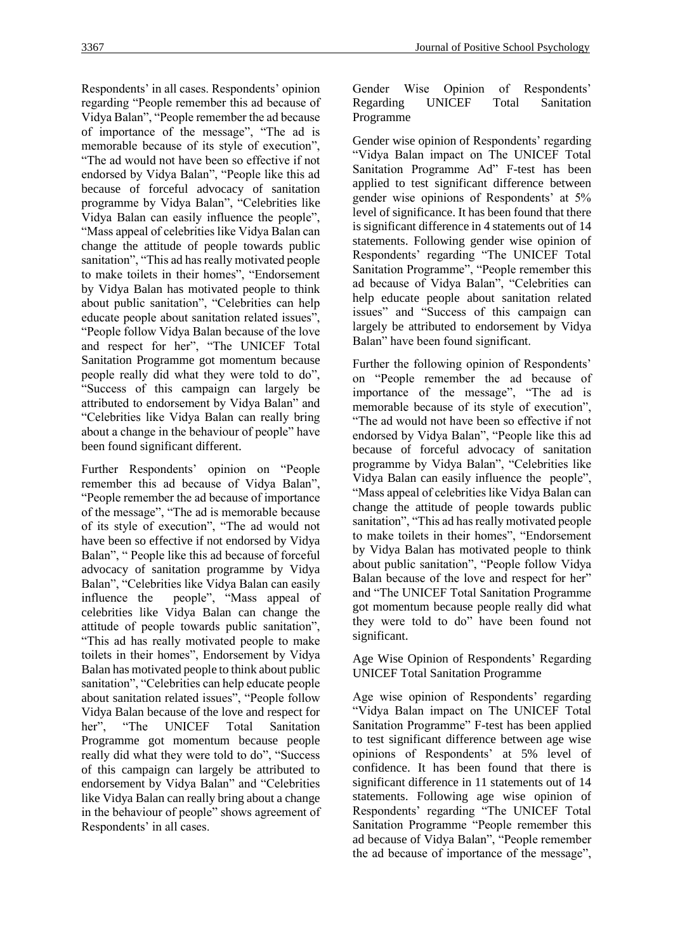Respondents' in all cases. Respondents' opinion regarding "People remember this ad because of Vidya Balan", "People remember the ad because of importance of the message", "The ad is memorable because of its style of execution", "The ad would not have been so effective if not endorsed by Vidya Balan", "People like this ad because of forceful advocacy of sanitation programme by Vidya Balan", "Celebrities like Vidya Balan can easily influence the people", "Mass appeal of celebrities like Vidya Balan can change the attitude of people towards public sanitation", "This ad has really motivated people to make toilets in their homes", "Endorsement by Vidya Balan has motivated people to think about public sanitation", "Celebrities can help educate people about sanitation related issues", "People follow Vidya Balan because of the love and respect for her", "The UNICEF Total Sanitation Programme got momentum because people really did what they were told to do", "Success of this campaign can largely be attributed to endorsement by Vidya Balan" and "Celebrities like Vidya Balan can really bring about a change in the behaviour of people" have been found significant different.

Further Respondents' opinion on "People remember this ad because of Vidya Balan", "People remember the ad because of importance of the message", "The ad is memorable because of its style of execution", "The ad would not have been so effective if not endorsed by Vidya Balan", " People like this ad because of forceful advocacy of sanitation programme by Vidya Balan", "Celebrities like Vidya Balan can easily influence the people", "Mass appeal of celebrities like Vidya Balan can change the attitude of people towards public sanitation", "This ad has really motivated people to make toilets in their homes", Endorsement by Vidya Balan has motivated people to think about public sanitation", "Celebrities can help educate people about sanitation related issues", "People follow Vidya Balan because of the love and respect for her", "The UNICEF Total Sanitation Programme got momentum because people really did what they were told to do", "Success of this campaign can largely be attributed to endorsement by Vidya Balan" and "Celebrities like Vidya Balan can really bring about a change in the behaviour of people" shows agreement of Respondents' in all cases.

Gender Wise Opinion of Respondents' Regarding UNICEF Total Sanitation Programme

Gender wise opinion of Respondents' regarding "Vidya Balan impact on The UNICEF Total Sanitation Programme Ad" F-test has been applied to test significant difference between gender wise opinions of Respondents' at 5% level of significance. It has been found that there is significant difference in 4 statements out of 14 statements. Following gender wise opinion of Respondents' regarding "The UNICEF Total Sanitation Programme", "People remember this ad because of Vidya Balan", "Celebrities can help educate people about sanitation related issues" and "Success of this campaign can largely be attributed to endorsement by Vidya Balan" have been found significant.

Further the following opinion of Respondents' on "People remember the ad because of importance of the message", "The ad is memorable because of its style of execution", "The ad would not have been so effective if not endorsed by Vidya Balan", "People like this ad because of forceful advocacy of sanitation programme by Vidya Balan", "Celebrities like Vidya Balan can easily influence the people", "Mass appeal of celebrities like Vidya Balan can change the attitude of people towards public sanitation", "This ad has really motivated people to make toilets in their homes", "Endorsement by Vidya Balan has motivated people to think about public sanitation", "People follow Vidya Balan because of the love and respect for her" and "The UNICEF Total Sanitation Programme got momentum because people really did what they were told to do" have been found not significant.

Age Wise Opinion of Respondents' Regarding UNICEF Total Sanitation Programme

Age wise opinion of Respondents' regarding "Vidya Balan impact on The UNICEF Total Sanitation Programme" F-test has been applied to test significant difference between age wise opinions of Respondents' at 5% level of confidence. It has been found that there is significant difference in 11 statements out of 14 statements. Following age wise opinion of Respondents' regarding "The UNICEF Total Sanitation Programme "People remember this ad because of Vidya Balan", "People remember the ad because of importance of the message",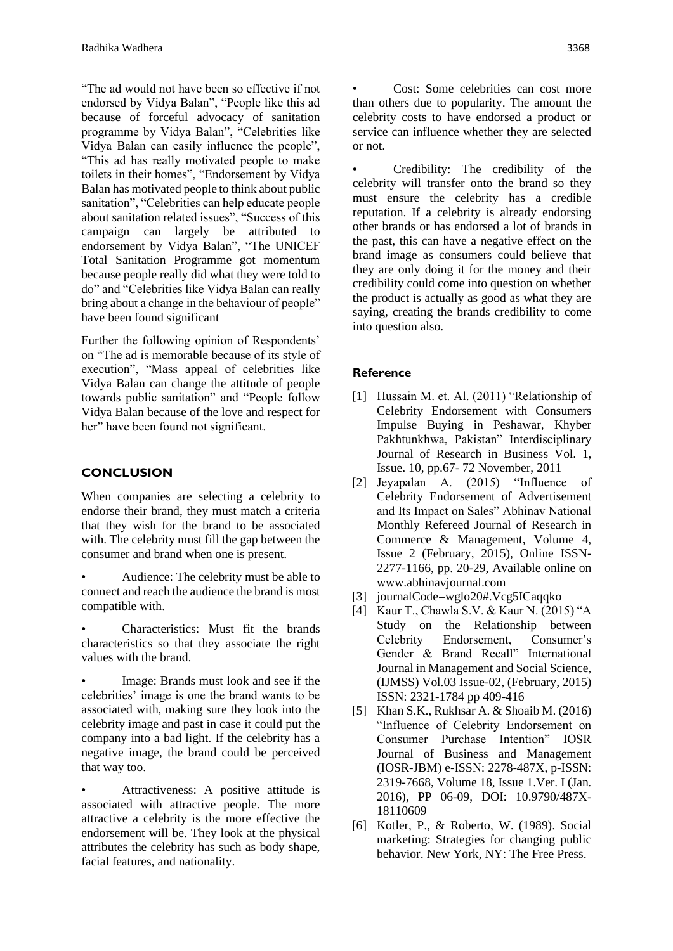"The ad would not have been so effective if not endorsed by Vidya Balan", "People like this ad because of forceful advocacy of sanitation programme by Vidya Balan", "Celebrities like Vidya Balan can easily influence the people", "This ad has really motivated people to make toilets in their homes", "Endorsement by Vidya Balan has motivated people to think about public sanitation", "Celebrities can help educate people about sanitation related issues", "Success of this campaign can largely be attributed to endorsement by Vidya Balan", "The UNICEF Total Sanitation Programme got momentum because people really did what they were told to do" and "Celebrities like Vidya Balan can really bring about a change in the behaviour of people" have been found significant

Further the following opinion of Respondents' on "The ad is memorable because of its style of execution", "Mass appeal of celebrities like Vidya Balan can change the attitude of people towards public sanitation" and "People follow Vidya Balan because of the love and respect for her" have been found not significant.

# **CONCLUSION**

When companies are selecting a celebrity to endorse their brand, they must match a criteria that they wish for the brand to be associated with. The celebrity must fill the gap between the consumer and brand when one is present.

- Audience: The celebrity must be able to connect and reach the audience the brand is most compatible with.
- Characteristics: Must fit the brands characteristics so that they associate the right values with the brand.

• Image: Brands must look and see if the celebrities' image is one the brand wants to be associated with, making sure they look into the celebrity image and past in case it could put the company into a bad light. If the celebrity has a negative image, the brand could be perceived that way too.

• Attractiveness: A positive attitude is associated with attractive people. The more attractive a celebrity is the more effective the endorsement will be. They look at the physical attributes the celebrity has such as body shape, facial features, and nationality.

• Cost: Some celebrities can cost more than others due to popularity. The amount the celebrity costs to have endorsed a product or service can influence whether they are selected or not.

Credibility: The credibility of the celebrity will transfer onto the brand so they must ensure the celebrity has a credible reputation. If a celebrity is already endorsing other brands or has endorsed a lot of brands in the past, this can have a negative effect on the brand image as consumers could believe that they are only doing it for the money and their credibility could come into question on whether the product is actually as good as what they are saying, creating the brands credibility to come into question also.

# **Reference**

- [1] Hussain M. et. Al. (2011) "Relationship of Celebrity Endorsement with Consumers Impulse Buying in Peshawar, Khyber Pakhtunkhwa, Pakistan" Interdisciplinary Journal of Research in Business Vol. 1, Issue. 10, pp.67- 72 November, 2011
- [2] Jeyapalan A. (2015) "Influence of Celebrity Endorsement of Advertisement and Its Impact on Sales" Abhinav National Monthly Refereed Journal of Research in Commerce & Management, Volume 4, Issue 2 (February, 2015), Online ISSN-2277-1166, pp. 20-29, Available online on www.abhinavjournal.com
- [3] journalCode=wglo20#.Vcg5ICaqqko
- [4] Kaur T., Chawla S.V. & Kaur N. (2015) "A Study on the Relationship between Celebrity Endorsement, Consumer's Gender & Brand Recall" International Journal in Management and Social Science, (IJMSS) Vol.03 Issue-02, (February, 2015) ISSN: 2321-1784 pp 409-416
- [5] Khan S.K., Rukhsar A. & Shoaib M. (2016) "Influence of Celebrity Endorsement on Consumer Purchase Intention" IOSR Journal of Business and Management (IOSR-JBM) e-ISSN: 2278-487X, p-ISSN: 2319-7668, Volume 18, Issue 1.Ver. I (Jan. 2016), PP 06-09, DOI: 10.9790/487X-18110609
- [6] Kotler, P., & Roberto, W. (1989). Social marketing: Strategies for changing public behavior. New York, NY: The Free Press.